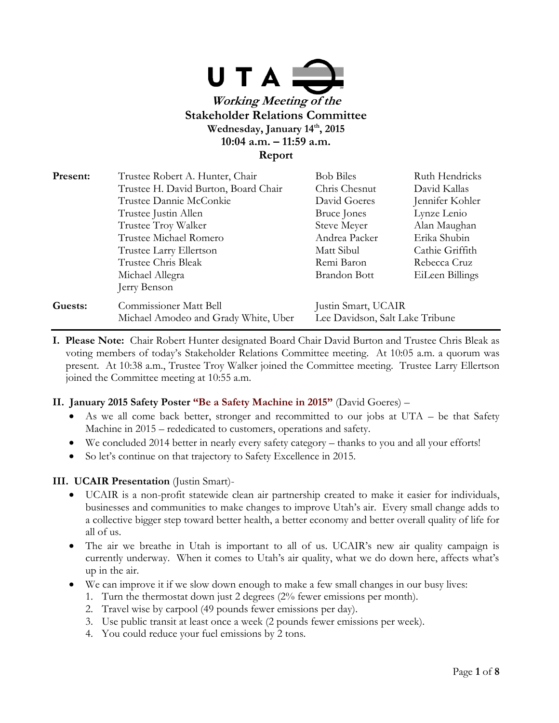

| Present: | Trustee Robert A. Hunter, Chair                                       | <b>Bob Biles</b>                                       | Ruth Hendricks  |
|----------|-----------------------------------------------------------------------|--------------------------------------------------------|-----------------|
|          | Trustee H. David Burton, Board Chair                                  | Chris Chesnut                                          | David Kallas    |
|          | Trustee Dannie McConkie                                               | David Goeres                                           | Jennifer Kohler |
|          | Trustee Justin Allen                                                  | Bruce Jones                                            | Lynze Lenio     |
|          | Trustee Troy Walker                                                   | Steve Meyer                                            | Alan Maughan    |
|          | Trustee Michael Romero                                                | Andrea Packer                                          | Erika Shubin    |
|          | Trustee Larry Ellertson                                               | Matt Sibul                                             | Cathie Griffith |
|          | Trustee Chris Bleak                                                   | Remi Baron                                             | Rebecca Cruz    |
|          | Michael Allegra                                                       | Brandon Bott                                           | EiLeen Billings |
|          | Jerry Benson                                                          |                                                        |                 |
| Guests:  | <b>Commissioner Matt Bell</b><br>Michael Amodeo and Grady White, Uber | Justin Smart, UCAIR<br>Lee Davidson, Salt Lake Tribune |                 |

**I. Please Note:** Chair Robert Hunter designated Board Chair David Burton and Trustee Chris Bleak as voting members of today's Stakeholder Relations Committee meeting. At 10:05 a.m. a quorum was present. At 10:38 a.m., Trustee Troy Walker joined the Committee meeting. Trustee Larry Ellertson joined the Committee meeting at 10:55 a.m.

### **II. January 2015 Safety Poster "Be a Safety Machine in 2015"** (David Goeres) –

- As we all come back better, stronger and recommitted to our jobs at UTA be that Safety Machine in 2015 – rededicated to customers, operations and safety.
- We concluded 2014 better in nearly every safety category thanks to you and all your efforts!
- So let's continue on that trajectory to Safety Excellence in 2015.

#### **III. UCAIR Presentation** (Justin Smart)-

- UCAIR is a non-profit statewide clean air partnership created to make it easier for individuals, businesses and communities to make changes to improve Utah's air. Every small change adds to a collective bigger step toward better health, a better economy and better overall quality of life for all of us.
- The air we breathe in Utah is important to all of us. UCAIR's new air quality campaign is currently underway. When it comes to Utah's air quality, what we do down here, affects what's up in the air.
- We can improve it if we slow down enough to make a few small changes in our busy lives:
	- 1. Turn the thermostat down just 2 degrees (2% fewer emissions per month).
	- 2. Travel wise by carpool (49 pounds fewer emissions per day).
	- 3. Use public transit at least once a week (2 pounds fewer emissions per week).
	- 4. You could reduce your fuel emissions by 2 tons.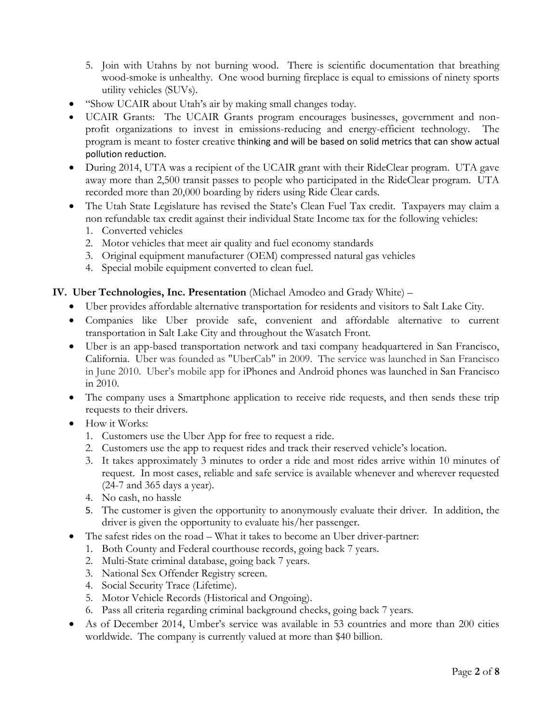5. Join with Utahns by not burning wood. There is scientific documentation that breathing wood-smoke is unhealthy. One wood burning fireplace is equal to emissions of ninety sports utility vehicles (SUVs).

- "Show UCAIR about Utah's air by making small changes today.
- UCAIR Grants: The UCAIR Grants program encourages businesses, government and nonprofit organizations to invest in emissions-reducing and energy-efficient technology. The program is meant to foster creative thinking and will be based on solid metrics that can show actual pollution reduction.
- During 2014, UTA was a recipient of the UCAIR grant with their RideClear program. UTA gave away more than 2,500 transit passes to people who participated in the RideClear program. UTA recorded more than 20,000 boarding by riders using Ride Clear cards.
- The Utah State Legislature has revised the State's Clean Fuel Tax credit. Taxpayers may claim a non refundable tax credit against their individual State Income tax for the following vehicles:
	- 1. Converted vehicles
	- 2. Motor vehicles that meet air quality and fuel economy standards
	- 3. Original equipment manufacturer (OEM) compressed natural gas vehicles
	- 4. Special mobile equipment converted to clean fuel.

### **IV. Uber Technologies, Inc. Presentation** (Michael Amodeo and Grady White) –

- Uber provides affordable alternative transportation for residents and visitors to Salt Lake City.
- Companies like Uber provide safe, convenient and affordable alternative to current transportation in Salt Lake City and throughout the Wasatch Front.
- Uber is an app-based transportation network and taxi company headquartered in San Francisco, California. Uber was founded as "UberCab" in 2009. The service was launched in San Francisco in June 2010. Uber's mobile app for [iPhones](http://en.wikipedia.org/wiki/IPhones) and [Android phones](http://en.wikipedia.org/wiki/Android_(operating_system)) was launched in San Francisco in 2010.
- The company uses a Smartphone application to receive ride requests, and then sends these trip requests to their drivers.
- How it Works:
	- 1. Customers use the Uber App for free to request a ride.
	- 2. Customers use the app to request rides and track their reserved vehicle's location.
	- 3. It takes approximately 3 minutes to order a ride and most rides arrive within 10 minutes of request. In most cases, reliable and safe service is available whenever and wherever requested (24-7 and 365 days a year).
	- 4. No cash, no hassle
	- 5. The customer is given the opportunity to anonymously evaluate their driver. In addition, the driver is given the opportunity to evaluate his/her passenger.
- The safest rides on the road What it takes to become an Uber driver-partner:
	- 1. Both County and Federal courthouse records, going back 7 years.
	- 2. Multi-State criminal database, going back 7 years.
	- 3. National Sex Offender Registry screen.
	- 4. Social Security Trace (Lifetime).
	- 5. Motor Vehicle Records (Historical and Ongoing).
	- 6. Pass all criteria regarding criminal background checks, going back 7 years.
- As of December 2014, Umber's service was available in 53 countries and more than 200 cities worldwide. The company is currently valued at more than \$40 billion.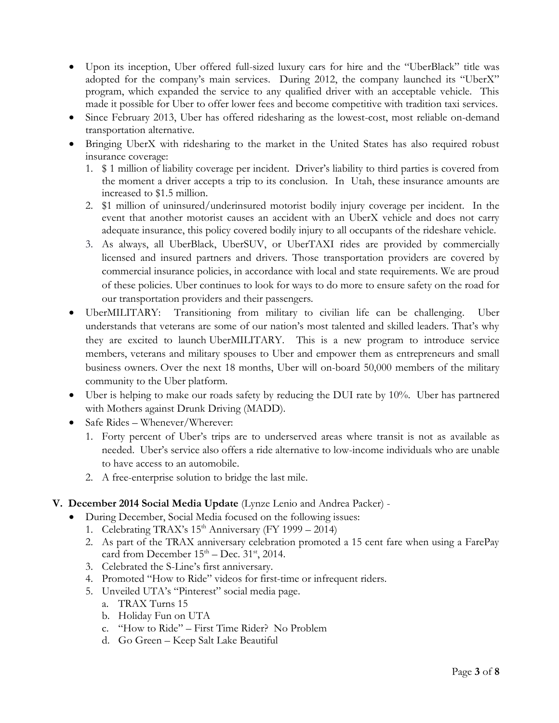- Upon its inception, Uber offered full-sized luxury cars for hire and the "UberBlack" title was adopted for the company's main services. During 2012, the company launched its "UberX" program, which expanded the service to any qualified driver with an acceptable vehicle. This made it possible for Uber to offer lower fees and become competitive with tradition taxi services.
- Since February 2013, Uber has offered ridesharing as the lowest-cost, most reliable on-demand transportation alternative.
- Bringing UberX with ridesharing to the market in the United States has also required robust insurance coverage:
	- 1. \$ 1 million of liability coverage per incident. Driver's liability to third parties is covered from the moment a driver accepts a trip to its conclusion. In Utah, these insurance amounts are increased to \$1.5 million.
	- 2. \$1 million of uninsured/underinsured motorist bodily injury coverage per incident. In the event that another motorist causes an accident with an UberX vehicle and does not carry adequate insurance, this policy covered bodily injury to all occupants of the rideshare vehicle.
	- 3. As always, all UberBlack, UberSUV, or UberTAXI rides are provided by commercially licensed and insured partners and drivers. Those transportation providers are covered by commercial insurance policies, in accordance with local and state requirements. We are proud of these policies. Uber continues to look for ways to do more to ensure safety on the road for our transportation providers and their passengers.
- UberMILITARY: Transitioning from military to civilian life can be challenging. Uber understands that veterans are some of our nation's most talented and skilled leaders. That's why they are excited to launch [UberMILITARY.](http://www.politico.com/magazine/story/2014/09/robert-gates-uber-veterans-111039.html#.VBmp5i5dUeb) This is a new program to introduce service members, veterans and military spouses to Uber and empower them as entrepreneurs and small business owners. Over the next 18 months, Uber will on-board 50,000 members of the military community to the Uber platform.
- Uber is helping to make our roads safety by reducing the DUI rate by 10%. Uber has partnered with Mothers against Drunk Driving (MADD).
- Safe Rides Whenever/Wherever:
	- 1. Forty percent of Uber's trips are to underserved areas where transit is not as available as needed. Uber's service also offers a ride alternative to low-income individuals who are unable to have access to an automobile.
	- 2. A free-enterprise solution to bridge the last mile.
- **V. December 2014 Social Media Update** (Lynze Lenio and Andrea Packer)
	- During December, Social Media focused on the following issues:
		- 1. Celebrating TRAX's  $15<sup>th</sup>$  Anniversary (FY 1999 2014)
		- 2. As part of the TRAX anniversary celebration promoted a 15 cent fare when using a FarePay card from December  $15<sup>th</sup> - Dec. 31<sup>st</sup>$ , 2014.
		- 3. Celebrated the S-Line's first anniversary.
		- 4. Promoted "How to Ride" videos for first-time or infrequent riders.
		- 5. Unveiled UTA's "Pinterest" social media page.
			- a. TRAX Turns 15
			- b. Holiday Fun on UTA
			- c. "How to Ride" First Time Rider? No Problem
			- d. Go Green Keep Salt Lake Beautiful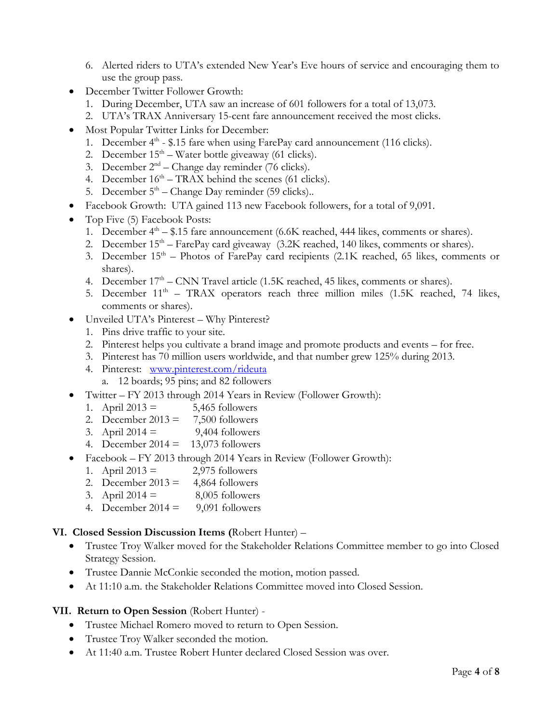- 6. Alerted riders to UTA's extended New Year's Eve hours of service and encouraging them to use the group pass.
- December Twitter Follower Growth:
	- 1. During December, UTA saw an increase of 601 followers for a total of 13,073.
	- 2. UTA's TRAX Anniversary 15-cent fare announcement received the most clicks.
- Most Popular Twitter Links for December:
	- 1. December 4<sup>th</sup> \$.15 fare when using FarePay card announcement (116 clicks).
	- 2. December  $15<sup>th</sup>$  Water bottle giveaway (61 clicks).
	- 3. December  $2<sup>nd</sup>$  Change day reminder (76 clicks).
	- 4. December  $16<sup>th</sup> TRAX$  behind the scenes (61 clicks).
	- 5. December  $5<sup>th</sup>$  Change Day reminder (59 clicks)..
- Facebook Growth: UTA gained 113 new Facebook followers, for a total of 9,091.
- Top Five (5) Facebook Posts:
	- 1. December  $4<sup>th</sup> $.15$  fare announcement (6.6K reached, 444 likes, comments or shares).
	- 2. December  $15<sup>th</sup> FarePay card giveaway (3.2K reached, 140 likes, comments or shares).$
	- 3. December  $15<sup>th</sup>$  Photos of FarePay card recipients (2.1K reached, 65 likes, comments or shares).
	- 4. December  $17<sup>th</sup>$  CNN Travel article (1.5K reached, 45 likes, comments or shares).
	- 5. December  $11<sup>th</sup>$  TRAX operators reach three million miles (1.5K reached, 74 likes, comments or shares).
- Unveiled UTA's Pinterest Why Pinterest?
	- 1. Pins drive traffic to your site.
	- 2. Pinterest helps you cultivate a brand image and promote products and events for free.
	- 3. Pinterest has 70 million users worldwide, and that number grew 125% during 2013.
	- 4. Pinterest: [www.pinterest.com/rideuta](http://www.pinterest.com/rideuta)
		- a. 12 boards; 95 pins; and 82 followers
- Twitter FY 2013 through 2014 Years in Review (Follower Growth):
	- 1. April  $2013 = 5,465$  followers
	- 2. December  $2013 = 7,500$  followers
	- 3. April  $2014 = 9,404$  followers
	- 4. December 2014 =  $13,073$  followers
- Facebook FY 2013 through 2014 Years in Review (Follower Growth):
	- 1. April  $2013 = 2.975$  followers
	- 2. December  $2013 = 4,864$  followers
	- 3. April  $2014 = 8,005$  followers
	- 4. December  $2014 = 9,091$  followers

# **VI. Closed Session Discussion Items (**Robert Hunter) –

- Trustee Troy Walker moved for the Stakeholder Relations Committee member to go into Closed Strategy Session.
- Trustee Dannie McConkie seconded the motion, motion passed.
- At 11:10 a.m. the Stakeholder Relations Committee moved into Closed Session.

## **VII. Return to Open Session** (Robert Hunter) -

- Trustee Michael Romero moved to return to Open Session.
- Trustee Troy Walker seconded the motion.
- At 11:40 a.m. Trustee Robert Hunter declared Closed Session was over.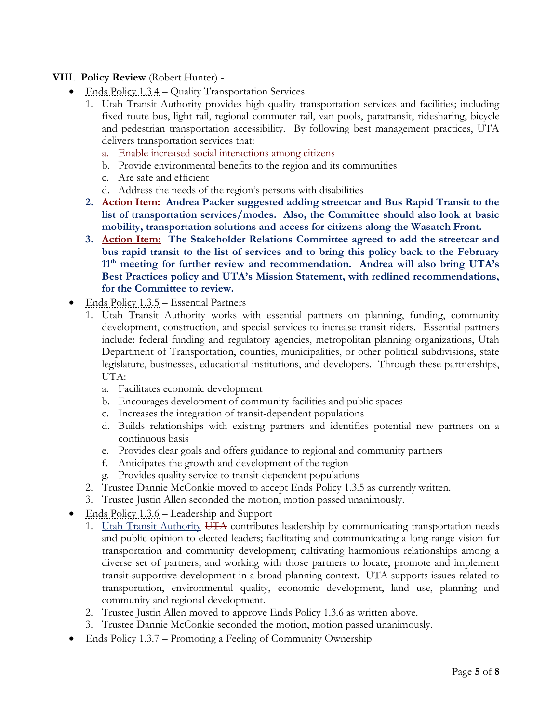## **VIII**. **Policy Review** (Robert Hunter) -

- Ends Policy 1.3.4 Quality Transportation Services
	- 1. Utah Transit Authority provides high quality transportation services and facilities; including fixed route bus, light rail, regional commuter rail, van pools, paratransit, ridesharing, bicycle and pedestrian transportation accessibility. By following best management practices, UTA delivers transportation services that:
		- a. Enable increased social interactions among citizens
		- b. Provide environmental benefits to the region and its communities
		- c. Are safe and efficient
		- d. Address the needs of the region's persons with disabilities
	- **2. Action Item: Andrea Packer suggested adding streetcar and Bus Rapid Transit to the list of transportation services/modes. Also, the Committee should also look at basic mobility, transportation solutions and access for citizens along the Wasatch Front.**
	- **3. Action Item: The Stakeholder Relations Committee agreed to add the streetcar and bus rapid transit to the list of services and to bring this policy back to the February 11th meeting for further review and recommendation. Andrea will also bring UTA's Best Practices policy and UTA's Mission Statement, with redlined recommendations, for the Committee to review.**
- Ends Policy 1.3.5 Essential Partners
	- 1. Utah Transit Authority works with essential partners on planning, funding, community development, construction, and special services to increase transit riders. Essential partners include: federal funding and regulatory agencies, metropolitan planning organizations, Utah Department of Transportation, counties, municipalities, or other political subdivisions, state legislature, businesses, educational institutions, and developers. Through these partnerships, UTA:
		- a. Facilitates economic development
		- b. Encourages development of community facilities and public spaces
		- c. Increases the integration of transit-dependent populations
		- d. Builds relationships with existing partners and identifies potential new partners on a continuous basis
		- e. Provides clear goals and offers guidance to regional and community partners
		- f. Anticipates the growth and development of the region
		- g. Provides quality service to transit-dependent populations
	- 2. Trustee Dannie McConkie moved to accept Ends Policy 1.3.5 as currently written.
	- 3. Trustee Justin Allen seconded the motion, motion passed unanimously.
- $\bullet$  Ends Policy 1.3.6 Leadership and Support
	- 1. Utah Transit Authority UTA contributes leadership by communicating transportation needs and public opinion to elected leaders; facilitating and communicating a long-range vision for transportation and community development; cultivating harmonious relationships among a diverse set of partners; and working with those partners to locate, promote and implement transit-supportive development in a broad planning context. UTA supports issues related to transportation, environmental quality, economic development, land use, planning and community and regional development.
	- 2. Trustee Justin Allen moved to approve Ends Policy 1.3.6 as written above.
	- 3. Trustee Dannie McConkie seconded the motion, motion passed unanimously.
- Ends Policy 1.3.7 Promoting a Feeling of Community Ownership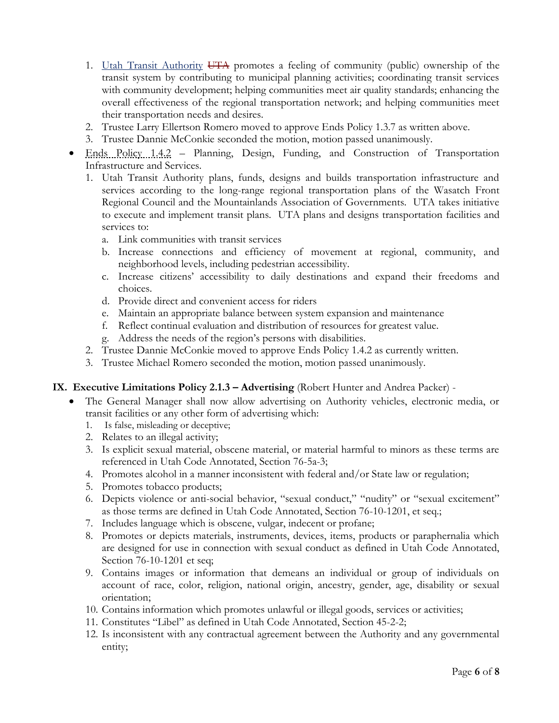- 1. Utah Transit Authority UTA promotes a feeling of community (public) ownership of the transit system by contributing to municipal planning activities; coordinating transit services with community development; helping communities meet air quality standards; enhancing the overall effectiveness of the regional transportation network; and helping communities meet their transportation needs and desires.
- 2. Trustee Larry Ellertson Romero moved to approve Ends Policy 1.3.7 as written above.
- 3. Trustee Dannie McConkie seconded the motion, motion passed unanimously.
- Ends Policy 1.4.2 Planning, Design, Funding, and Construction of Transportation Infrastructure and Services.
	- 1. Utah Transit Authority plans, funds, designs and builds transportation infrastructure and services according to the long-range regional transportation plans of the Wasatch Front Regional Council and the Mountainlands Association of Governments. UTA takes initiative to execute and implement transit plans. UTA plans and designs transportation facilities and services to:
		- a. Link communities with transit services
		- b. Increase connections and efficiency of movement at regional, community, and neighborhood levels, including pedestrian accessibility.
		- c. Increase citizens' accessibility to daily destinations and expand their freedoms and choices.
		- d. Provide direct and convenient access for riders
		- e. Maintain an appropriate balance between system expansion and maintenance
		- f. Reflect continual evaluation and distribution of resources for greatest value.
		- g. Address the needs of the region's persons with disabilities.
	- 2. Trustee Dannie McConkie moved to approve Ends Policy 1.4.2 as currently written.
	- 3. Trustee Michael Romero seconded the motion, motion passed unanimously.

### **IX. Executive Limitations Policy 2.1.3 – Advertising** (Robert Hunter and Andrea Packer) -

- The General Manager shall now allow advertising on Authority vehicles, electronic media, or transit facilities or any other form of advertising which:
	- 1. Is false, misleading or deceptive;
	- 2. Relates to an illegal activity;
	- 3. Is explicit sexual material, obscene material, or material harmful to minors as these terms are referenced in Utah Code Annotated, Section 76-5a-3;
	- 4. Promotes alcohol in a manner inconsistent with federal and/or State law or regulation;
	- 5. Promotes tobacco products;
	- 6. Depicts violence or anti-social behavior, "sexual conduct," "nudity" or "sexual excitement" as those terms are defined in Utah Code Annotated, Section 76-10-1201, et seq.;
	- 7. Includes language which is obscene, vulgar, indecent or profane;
	- 8. Promotes or depicts materials, instruments, devices, items, products or paraphernalia which are designed for use in connection with sexual conduct as defined in Utah Code Annotated, Section 76-10-1201 et seq;
	- 9. Contains images or information that demeans an individual or group of individuals on account of race, color, religion, national origin, ancestry, gender, age, disability or sexual orientation;
	- 10. Contains information which promotes unlawful or illegal goods, services or activities;
	- 11. Constitutes "Libel" as defined in Utah Code Annotated, Section 45-2-2;
	- 12. Is inconsistent with any contractual agreement between the Authority and any governmental entity;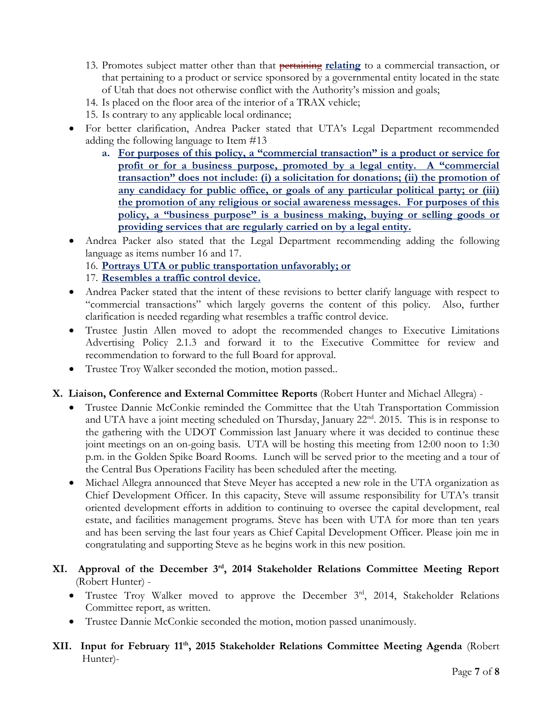- 13. Promotes subject matter other than that pertaining **relating** to a commercial transaction, or that pertaining to a product or service sponsored by a governmental entity located in the state of Utah that does not otherwise conflict with the Authority's mission and goals;
- 14. Is placed on the floor area of the interior of a TRAX vehicle;
- 15. Is contrary to any applicable local ordinance;
- For better clarification, Andrea Packer stated that UTA's Legal Department recommended adding the following language to Item #13
	- **a. For purposes of this policy, a "commercial transaction" is a product or service for profit or for a business purpose, promoted by a legal entity. A "commercial transaction" does not include: (i) a solicitation for donations; (ii) the promotion of any candidacy for public office, or goals of any particular political party; or (iii) the promotion of any religious or social awareness messages. For purposes of this policy, a "business purpose" is a business making, buying or selling goods or providing services that are regularly carried on by a legal entity.**
- Andrea Packer also stated that the Legal Department recommending adding the following language as items number 16 and 17.

## 16. **Portrays UTA or public transportation unfavorably; or**

- 17. **Resembles a traffic control device.**
- Andrea Packer stated that the intent of these revisions to better clarify language with respect to "commercial transactions" which largely governs the content of this policy. Also, further clarification is needed regarding what resembles a traffic control device.
- Trustee Justin Allen moved to adopt the recommended changes to Executive Limitations Advertising Policy 2.1.3 and forward it to the Executive Committee for review and recommendation to forward to the full Board for approval.
- Trustee Troy Walker seconded the motion, motion passed..

### **X. Liaison, Conference and External Committee Reports** (Robert Hunter and Michael Allegra) -

- Trustee Dannie McConkie reminded the Committee that the Utah Transportation Commission and UTA have a joint meeting scheduled on Thursday, January 22<sup>nd</sup>. 2015. This is in response to the gathering with the UDOT Commission last January where it was decided to continue these joint meetings on an on-going basis. UTA will be hosting this meeting from 12:00 noon to 1:30 p.m. in the Golden Spike Board Rooms. Lunch will be served prior to the meeting and a tour of the Central Bus Operations Facility has been scheduled after the meeting.
- Michael Allegra announced that Steve Meyer has accepted a new role in the UTA organization as Chief Development Officer. In this capacity, Steve will assume responsibility for UTA's transit oriented development efforts in addition to continuing to oversee the capital development, real estate, and facilities management programs. Steve has been with UTA for more than ten years and has been serving the last four years as Chief Capital Development Officer. Please join me in congratulating and supporting Steve as he begins work in this new position.
- **XI. Approval of the December 3rd, 2014 Stakeholder Relations Committee Meeting Report** (Robert Hunter) -
	- Trustee Troy Walker moved to approve the December 3<sup>rd</sup>, 2014, Stakeholder Relations Committee report, as written.
	- Trustee Dannie McConkie seconded the motion, motion passed unanimously.
- **XII. Input for February 11th, 2015 Stakeholder Relations Committee Meeting Agenda** (Robert Hunter)-